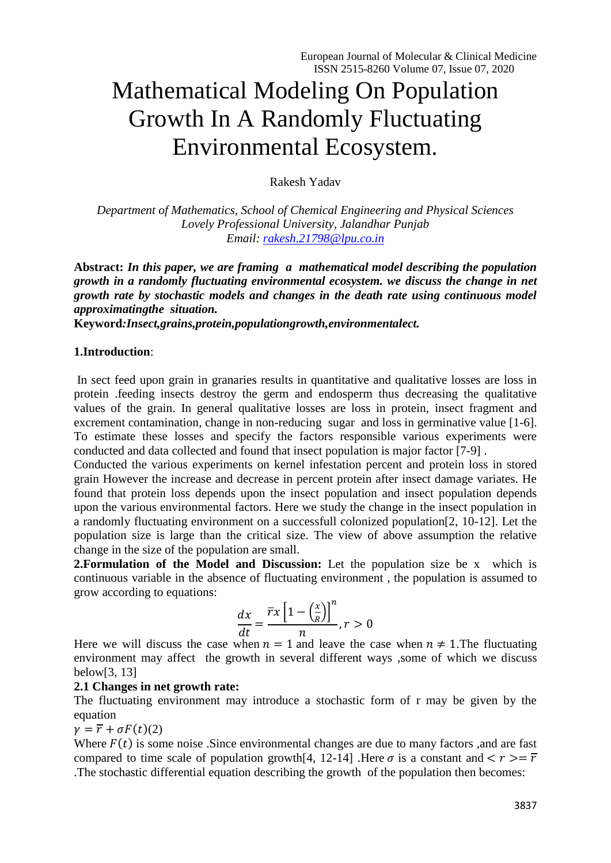# Mathematical Modeling On Population Growth In A Randomly Fluctuating Environmental Ecosystem.

Rakesh Yadav

*Department of Mathematics, School of Chemical Engineering and Physical Sciences Lovely Professional University, Jalandhar Punjab Email: [rakesh.21798@lpu.co.in](mailto:rakesh.21798@lpu.co.in)*

**Abstract:** *In this paper, we are framing a mathematical model describing the population growth in a randomly fluctuating environmental ecosystem. we discuss the change in net growth rate by stochastic models and changes in the death rate using continuous model approximatingthe situation.*

**Keyword***:Insect,grains,protein,populationgrowth,environmentalect.*

## **1.Introduction**:

In sect feed upon grain in granaries results in quantitative and qualitative losses are loss in protein .feeding insects destroy the germ and endosperm thus decreasing the qualitative values of the grain. In general qualitative losses are loss in protein, insect fragment and excrement contamination, change in non-reducing sugar and loss in germinative value [1-6]. To estimate these losses and specify the factors responsible various experiments were conducted and data collected and found that insect population is major factor [7-9] .

Conducted the various experiments on kernel infestation percent and protein loss in stored grain However the increase and decrease in percent protein after insect damage variates. He found that protein loss depends upon the insect population and insect population depends upon the various environmental factors. Here we study the change in the insect population in a randomly fluctuating environment on a successfull colonized population[2, 10-12]. Let the population size is large than the critical size. The view of above assumption the relative change in the size of the population are small.

**2.Formulation of the Model and Discussion:** Let the population size be x which is continuous variable in the absence of fluctuating environment , the population is assumed to grow according to equations:

$$
\frac{dx}{dt} = \frac{\overline{r}x\left[1 - \left(\frac{x}{R}\right)\right]^n}{n}, r > 0
$$

Here we will discuss the case when  $n = 1$  and leave the case when  $n \neq 1$ . The fluctuating environment may affect the growth in several different ways ,some of which we discuss below[3, 13]

## **2.1 Changes in net growth rate:**

The fluctuating environment may introduce a stochastic form of r may be given by the equation

$$
\gamma = \overline{r} + \sigma F(t)(2)
$$

Where  $F(t)$  is some noise. Since environmental changes are due to many factors, and are fast compared to time scale of population growth [4, 12-14]. Here  $\sigma$  is a constant and  $\langle r \rangle = \overline{r}$ .The stochastic differential equation describing the growth of the population then becomes: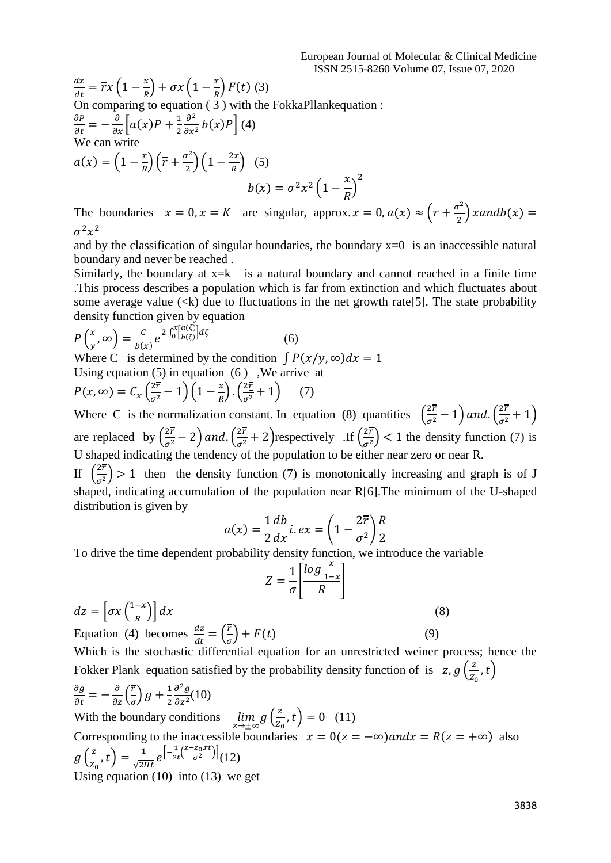$$
\frac{dx}{dt} = \overline{r}x\left(1 - \frac{x}{R}\right) + \sigma x\left(1 - \frac{x}{R}\right)F(t)
$$
\nOn comparing to equation (3) with the FokkaPllank equation:

\n
$$
\frac{\partial P}{\partial t} = -\frac{\partial}{\partial x}\left[a(x)P + \frac{1}{2}\frac{\partial^2}{\partial x^2}b(x)P\right](4)
$$
\nWe can write

\n
$$
a(x) = \left(1 - \frac{x}{R}\right)\left(\overline{r} + \frac{\sigma^2}{2}\right)\left(1 - \frac{2x}{R}\right)
$$
\n(5)

\n
$$
b(x) = \sigma^2 x^2 \left(1 - \frac{x}{R}\right)^2
$$

The boundaries  $x = 0, x = K$  are singular, approx.  $x = 0, a(x) \approx (r + \frac{\sigma^2}{2})$  $\frac{y}{2}$ ) xandb(x) =  $\sigma^2 x^2$ 

and by the classification of singular boundaries, the boundary  $x=0$  is an inaccessible natural boundary and never be reached .

Similarly, the boundary at  $x=k$  is a natural boundary and cannot reached in a finite time .This process describes a population which is far from extinction and which fluctuates about some average value  $(\langle k \rangle)$  due to fluctuations in the net growth rate [5]. The state probability density function given by equation

$$
P\left(\frac{x}{y},\infty\right) = \frac{c}{b(x)} e^{2\int_0^x \left[\frac{a(\zeta)}{b(\zeta)}\right] d\zeta}
$$
(6)

Where C is determined by the condition  $\int P(x/y, \infty) dx = 1$ Using equation  $(5)$  in equation  $(6)$ . We arrive at

$$
P(x, \infty) = C_x \left(\frac{2\overline{r}}{\sigma^2} - 1\right) \left(1 - \frac{x}{R}\right) \left(\frac{2\overline{r}}{\sigma^2} + 1\right) \tag{7}
$$

Where C is the normalization constant. In equation (8) quantities  $\left(\frac{2\bar{r}}{\sigma^2} - 1\right)$  and.  $\left(\frac{2\bar{r}}{\sigma^2} + 1\right)$ are replaced by  $\left(\frac{2\bar{r}}{\sigma^2} - 2\right)$  and.  $\left(\frac{2\bar{r}}{\sigma^2} + 2\right)$  respectively .If  $\left(\frac{2\bar{r}}{\sigma^2}\right)$  $\left(\frac{27}{\sigma^2}\right)$  < 1 the density function (7) is U shaped indicating the tendency of the population to be either near zero or near R.

If  $\left(\frac{2r}{2}\right)$  $\left(\frac{27}{\sigma^2}\right)$  > 1 then the density function (7) is monotonically increasing and graph is of J shaped, indicating accumulation of the population near R[6].The minimum of the U-shaped distribution is given by

$$
a(x) = \frac{1}{2} \frac{db}{dx} i \cdot ex = \left(1 - \frac{2\overline{r}}{\sigma^2}\right) \frac{R}{2}
$$

To drive the time dependent probability density function, we introduce the variable

$$
Z = \frac{1}{\sigma} \left[ \frac{\log \frac{x}{1-x}}{R} \right]
$$
  
\n
$$
dz = \left[ \sigma x \left( \frac{1-x}{R} \right) \right] dx
$$
\n(8)

\nEquation (4) becomes  $\frac{dz}{dt} = \left( \frac{\overline{r}}{\sigma} \right) + F(t)$ 

\n(9)

\nWhich is the stochastic differential equation for an unrestricted weiner process; hence the Fokker Planck equation satisfied by the probability density function of is  $z, g\left( \frac{z}{z_0}, t \right)$ 

$$
\frac{\partial g}{\partial t} = -\frac{\partial}{\partial z} \left( \frac{\overline{r}}{\sigma} \right) g + \frac{1}{2} \frac{\partial^2 g}{\partial z^2} (10)
$$
  
With the boundary conditions  $\lim_{z \to \pm \infty} g \left( \frac{z}{z_0}, t \right) = 0$  (11)  
Corresponding to the inaccessible boundaries  $x = 0 (z = -\infty)$  and  $x = R(z = +\infty)$  also  
 $g \left( \frac{z}{z_0}, t \right) = \frac{1}{\sqrt{2\pi t}} e^{\left[ -\frac{1}{2t} \left( \frac{z - z_0, rt}{\sigma^2} \right) \right]} (12)$   
Using equation (10) into (13) we get

 $t)$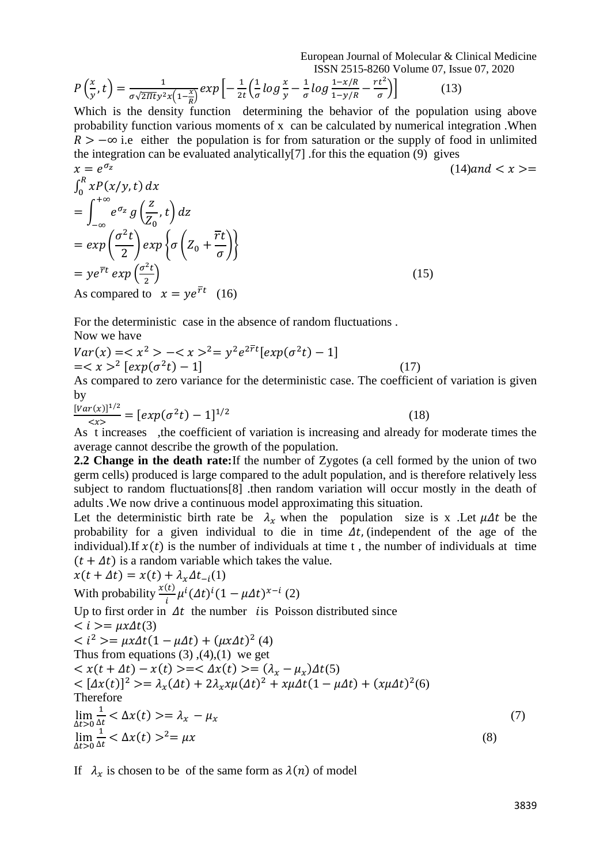European Journal of Molecular & Clinical Medicine ISSN 2515-8260 Volume 07, Issue 07, 2020

$$
P\left(\frac{x}{y},t\right) = \frac{1}{\sigma\sqrt{2\pi t}y^2x\left(1-\frac{x}{R}\right)}exp\left[-\frac{1}{2t}\left(\frac{1}{\sigma}\log\frac{x}{y}-\frac{1}{\sigma}\log\frac{1-x/R}{1-y/R}-\frac{rt^2}{\sigma}\right)\right]
$$
(13)

Which is the density function determining the behavior of the population using above probability function various moments of x can be calculated by numerical integration .When  $R > -\infty$  i.e either the population is for from saturation or the supply of food in unlimited the integration can be evaluated analytically[7] .for this the equation (9) gives

$$
x = e^{\sigma_z}
$$
  
\n
$$
\int_0^R xP(x/y, t) dx
$$
  
\n
$$
= \int_{-\infty}^{+\infty} e^{\sigma_z} g\left(\frac{z}{Z_0}, t\right) dz
$$
  
\n
$$
= \exp\left(\frac{\sigma^2 t}{2}\right) \exp\left\{\sigma\left(Z_0 + \frac{\overline{r}t}{\sigma}\right)\right\}
$$
  
\n
$$
= y e^{\overline{r}t} \exp\left(\frac{\sigma^2 t}{2}\right)
$$
  
\nAs compared to  $x = y e^{\overline{r}t}$  (16) (15)

For the deterministic case in the absence of random fluctuations . Now we have

$$
Var(x) = \langle x^2 \rangle - \langle x \rangle^2 = y^2 e^{2\overline{r}t} [exp(\sigma^2 t) - 1]
$$
  
=  $\langle x \rangle^2 [exp(\sigma^2 t) - 1]$  (17)

As compared to zero variance for the deterministic case. The coefficient of variation is given by

$$
\frac{[Var(x)]^{1/2}}{\n(18)
$$

As t increases ,the coefficient of variation is increasing and already for moderate times the average cannot describe the growth of the population.

**2.2 Change in the death rate:**If the number of Zygotes (a cell formed by the union of two germ cells) produced is large compared to the adult population, and is therefore relatively less subject to random fluctuations[8] .then random variation will occur mostly in the death of adults .We now drive a continuous model approximating this situation.

Let the deterministic birth rate be  $\lambda_x$  when the population size is x. Let  $\mu \Delta t$  be the probability for a given individual to die in time  $\Delta t$ , (independent of the age of the individual). If  $x(t)$  is the number of individuals at time t, the number of individuals at time  $(t + \Delta t)$  is a random variable which takes the value.

$$
x(t + \Delta t) = x(t) + \lambda_x \Delta t_{-i}(1)
$$
  
\nWith probability  $\frac{x(t)}{i} \mu^i (\Delta t)^i (1 - \mu \Delta t)^{x-i} (2)$   
\nUp to first order in  $\Delta t$  the number *i*is Poisson distributed since  
\n $< i > = \mu x \Delta t(3)$   
\n $< i^2 > = \mu x \Delta t (1 - \mu \Delta t) + (\mu x \Delta t)^2 (4)$   
\nThus from equations (3), (4), (1) we get  
\n $< x(t + \Delta t) - x(t) > = < \Delta x(t) > = (\lambda_x - \mu_x) \Delta t(5)$   
\n $< [\Delta x(t)]^2 > = \lambda_x (\Delta t) + 2\lambda_x x \mu (\Delta t)^2 + x \mu \Delta t (1 - \mu \Delta t) + (x \mu \Delta t)^2 (6)$   
\nTherefore  
\n
$$
\lim_{\Delta t > 0} \frac{1}{\Delta t} < \Delta x(t) > = \lambda_x - \mu_x
$$
  
\n
$$
\lim_{\Delta t > 0} \frac{1}{\Delta t} < \Delta x(t) >^2 = \mu x
$$
\n(8)

If  $\lambda_x$  is chosen to be of the same form as  $\lambda(n)$  of model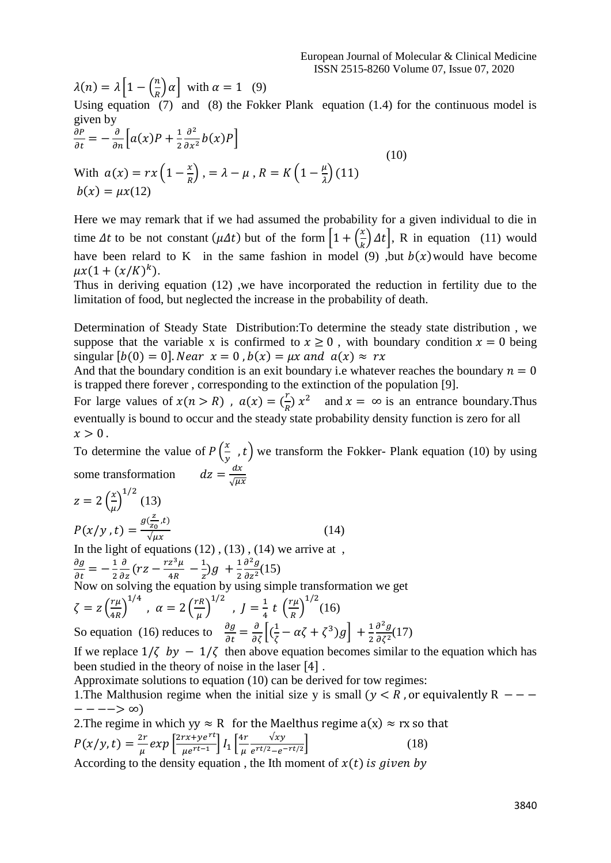$\lambda(n) = \lambda \left[1 - \left(\frac{n}{n}\right)\right]$  $\left(\frac{n}{R}\right) \alpha$  with  $\alpha = 1$  (9)

Using equation (7) and (8) the Fokker Plank equation (1.4) for the continuous model is given by

$$
\frac{\partial P}{\partial t} = -\frac{\partial}{\partial n} \Big[ a(x)P + \frac{1}{2} \frac{\partial^2}{\partial x^2} b(x)P \Big]
$$
  
With  $a(x) = rx \Big( 1 - \frac{x}{R} \Big)$ ,  $= \lambda - \mu$ ,  $R = K \Big( 1 - \frac{\mu}{\lambda} \Big)$  (11)  
 $b(x) = \mu x(12)$  (12)

Here we may remark that if we had assumed the probability for a given individual to die in time  $\Delta t$  to be not constant  $(\mu \Delta t)$  but of the form  $\left[1 + \left(\frac{x}{\mu}\right)\right]$  $\left(\frac{x}{k}\right) \Delta t$ , R in equation (11) would have been relard to K in the same fashion in model (9), but  $b(x)$  would have become  $\mu x (1 + (x/K)^k).$ 

Thus in deriving equation (12) ,we have incorporated the reduction in fertility due to the limitation of food, but neglected the increase in the probability of death.

Determination of Steady State Distribution:To determine the steady state distribution , we suppose that the variable x is confirmed to  $x \ge 0$ , with boundary condition  $x = 0$  being singular  $[b(0) = 0]$ . Near  $x = 0$ ,  $b(x) = \mu x$  and  $a(x) \approx r x$ 

And that the boundary condition is an exit boundary i.e whatever reaches the boundary  $n = 0$ is trapped there forever , corresponding to the extinction of the population [9].

For large values of  $x(n > R)$ ,  $a(x) = (\frac{r}{R})$  $\frac{r}{R}$ )  $x^2$  and  $x = \infty$  is an entrance boundary. Thus eventually is bound to occur and the steady state probability density function is zero for all  $x > 0$ .

To determine the value of  $P\left(\frac{x}{x}\right)$  $(\frac{\pi}{y})$ , t) we transform the Fokker- Plank equation (10) by using some transformation  $dx$  $\sqrt{\mu x}$ 

$$
z = 2\left(\frac{x}{\mu}\right)^{1/2} (13)
$$
  
\n
$$
P(x/y, t) = \frac{g(\frac{z}{z_0}, t)}{\sqrt{\mu x}}
$$
 (14)

In the light of equations  $(12)$ ,  $(13)$ ,  $(14)$  we arrive at,  $\frac{\partial g}{\partial t} = -\frac{1}{2}$ 2  $\frac{\partial}{\partial z}(rz - \frac{rz^3\mu}{4R})$  $\frac{z^3\mu}{4R} - \frac{1}{z}$  $\frac{1}{z}$ )g +  $\frac{1}{2}$ 2  $\partial^2 g$  $\frac{\partial g}{\partial z^2}(15)$ Now on solving the equation by using simple transformation we get  $\zeta = z \left( \frac{r \mu}{4R} \right)$  $\left(\frac{r\mu}{4R}\right)^{1/4}$  ,  $\alpha = 2\left(\frac{rR}{\mu}\right)$  $\left(\frac{rR}{\mu}\right)^{1/2}$ ,  $J=\frac{1}{4}$  $rac{1}{4}$  t  $\left(\frac{r\mu}{R}\right)$  $\left(\frac{r\mu}{R}\right)^{1/2}$ (16)

So equation (16) reduces to  $\frac{\partial g}{\partial t} = \frac{\partial}{\partial \zeta} \left[ \left( \frac{1}{\zeta} \right)$  $\frac{1}{\zeta} - \alpha \zeta + \zeta^3 g + \frac{1}{2}$ 2  $\partial^2 g$  $\frac{\partial g}{\partial \zeta^2}(17)$ 

If we replace  $1/\zeta$  by  $-1/\zeta$  then above equation becomes similar to the equation which has been studied in the theory of noise in the laser [4] .

Approximate solutions to equation (10) can be derived for tow regimes:

1. The Malthusion regime when the initial size y is small ( $y < R$ , or equivalently R - − − − −−> ∞)

2. The regime in which yy  $\approx R$  for the Maelthus regime  $a(x) \approx rx$  so that  $P(x/y, t) = \frac{2r}{t}$  $\frac{2r}{\mu} exp \left[ \frac{2rx + ye^{rt}}{\mu e^{rt-1}} \right]$  $\left[\frac{rx+ye^{rt}}{\mu e^{rt-1}}\right]I_1\left[\frac{4r}{\mu}\right]$  $\mu$  $\sqrt{xy}$  $e^{rt/2} - e^{-rt/2}$  $(18)$ According to the density equation, the Ith moment of  $x(t)$  is given by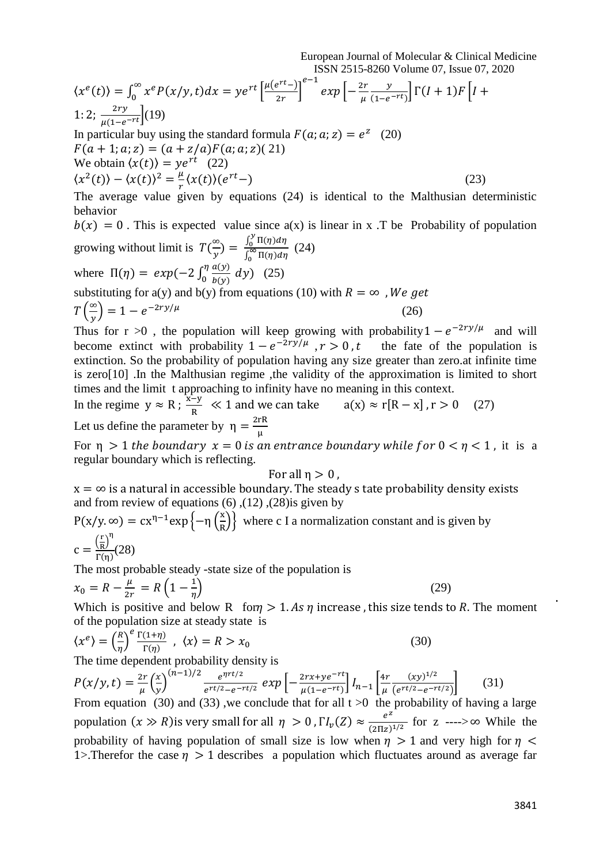European Journal of Molecular & Clinical Medicine ISSN 2515-8260 Volume 07, Issue 07, 2020

$$
\langle x^{e}(t) \rangle = \int_{0}^{\infty} x^{e} P(x/y, t) dx = y e^{rt} \left[ \frac{\mu(e^{rt})}{2r} \right]^{e-1} exp\left[ -\frac{2r}{\mu} \frac{y}{(1-e^{-rt})} \right] \Gamma(I+1) F\left[ I + 1; 2; \frac{2ry}{\mu(1-e^{-rt})} \right] (19)
$$
  
\nIn particular buy using the standard formula  $F(a; a; z) = e^{z}$  (20)  
\n $F(a + 1; a; z) = (a + z/a) F(a; a; z) (21)$   
\nWe obtain  $\langle x(t) \rangle = y e^{rt}$  (22)  
\n $\langle x^{2}(t) \rangle - \langle x(t) \rangle^{2} = \frac{\mu}{r} \langle x(t) \rangle (e^{rt} -)$   
\nThe average value given by equations (24) is identical to the Malthusian deterministic  
\nbehavior  
\n $b(x) = 0$ . This is expected value since  $a(x)$  is linear in x. The Probability of population  
\n $\int_{0}^{y} \Pi(\eta) d\eta$  (24)

growing without limit is 
$$
T\left(\frac{\infty}{y}\right) = \frac{\int_0^y \Pi(\eta)d\eta}{\int_0^\infty \Pi(\eta)d\eta}
$$
 (24)  
where  $\Pi(\eta) = exp(-2\int_0^{\eta} \frac{a(y)}{b(y)} dy)$  (25)  
substituting for a(y) and b(y) from equations (10) with  $R = \infty$ , *We get*  

$$
T\left(\frac{\infty}{y}\right) = 1 - e^{-2ry/\mu}
$$
 (26)

Thus for r >0, the population will keep growing with probability  $1 - e^{-2ry/\mu}$  and will become extinct with probability  $1 - e^{-2ry/\mu}$ the fate of the population is extinction. So the probability of population having any size greater than zero.at infinite time is zero[10] .In the Malthusian regime ,the validity of the approximation is limited to short times and the limit t approaching to infinity have no meaning in this context.

In the regime 
$$
y \approx R
$$
;  $\frac{x-y}{R} \ll 1$  and we can take  $a(x) \approx r[R - x]$ ,  $r > 0$  (27)  
Let us define the parameter by  $\eta = \frac{2rR}{\mu}$ 

For  $\eta > 1$  the boundary  $x = 0$  is an entrance boundary while for  $0 < \eta < 1$ , it is a regular boundary which is reflecting.

### For all  $\eta > 0$ ,

 $x = \infty$  is a natural in accessible boundary. The steady s tate probability density exists and from review of equations  $(6)$ ,  $(12)$ ,  $(28)$ is given by

$$
P(x/y, \infty) = cx^{\eta - 1} \exp\left\{-\eta \left(\frac{x}{R}\right)\right\}
$$
 where c I a normalization constant and is given by  

$$
c = \frac{\left(\frac{r}{R}\right)^{\eta}}{\Gamma(\eta)}(28)
$$

The most probable steady -state size of the population is

$$
x_0 = R - \frac{\mu}{2r} = R\left(1 - \frac{1}{\eta}\right)
$$
\n(29)

Which is positive and below R for  $\eta > 1$ . As  $\eta$  increase, this size tends to R. The moment of the population size at steady state is

$$
\langle x^e \rangle = \left(\frac{R}{\eta}\right)^e \frac{\Gamma(1+\eta)}{\Gamma(\eta)}, \quad \langle x \rangle = R > x_0 \tag{30}
$$

The time dependent probability density is

$$
P(x/y, t) = \frac{2r}{\mu} \left(\frac{x}{y}\right)^{(n-1)/2} \frac{e^{\eta rt/2}}{e^{rt/2} - e^{-rt/2}} \exp\left[-\frac{2rx + ye^{-rt}}{\mu(1 - e^{-rt})}\right] I_{n-1} \left[\frac{4r}{\mu} \frac{(xy)^{1/2}}{(e^{rt/2} - e^{-rt/2})}\right] \tag{31}
$$

From equation (30) and (33), we conclude that for all  $t > 0$  the probability of having a large population  $(x \gg R)$  is very small for all  $\eta > 0$ ,  $\Gamma l_{\nu}(Z) \approx \frac{e^{Z}}{(2\pi\tau)}$  $\frac{e}{(2\pi z)^{1/2}}$  for z ---->∞ While the probability of having population of small size is low when  $\eta > 1$  and very high for  $\eta <$ 1>. Therefor the case  $\eta > 1$  describes a population which fluctuates around as average far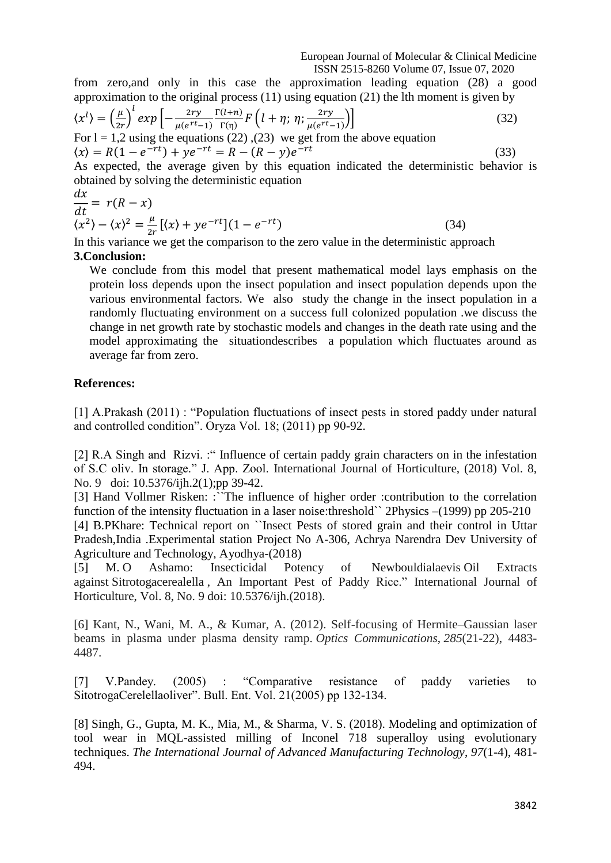from zero,and only in this case the approximation leading equation (28) a good approximation to the original process (11) using equation (21) the lth moment is given by

$$
\langle x^{l} \rangle = \left(\frac{\mu}{2r}\right)^{l} \exp\left[-\frac{2ry}{\mu(e^{rt}-1)} \frac{\Gamma(l+n)}{\Gamma(\eta)} F\left(l+\eta; \eta; \frac{2ry}{\mu(e^{rt}-1)}\right)\right]
$$
(32)

For  $l = 1,2$  using the equations (22), (23) we get from the above equation  $\langle x \rangle = R(1 - e^{-rt}) + ye^{-rt} = R - (R - y)e^{-rt}$ (33)

As expected, the average given by this equation indicated the deterministic behavior is obtained by solving the deterministic equation

$$
\frac{dx}{dt} = r(R - x) \n\langle x^2 \rangle - \langle x \rangle^2 = \frac{\mu}{2r} [(x) + ye^{-rt}] (1 - e^{-rt})
$$
\n(34)

In this variance we get the comparison to the zero value in the deterministic approach **3.Conclusion:**

We conclude from this model that present mathematical model lays emphasis on the protein loss depends upon the insect population and insect population depends upon the various environmental factors. We also study the change in the insect population in a randomly fluctuating environment on a success full colonized population .we discuss the change in net growth rate by stochastic models and changes in the death rate using and the model approximating the situationdescribes a population which fluctuates around as average far from zero.

## **References:**

[1] A.Prakash (2011) : "Population fluctuations of insect pests in stored paddy under natural and controlled condition". Oryza Vol. 18; (2011) pp 90-92.

[2] R.A Singh and Rizvi. : "Influence of certain paddy grain characters on in the infestation of S.C oliv. In storage." J. App. Zool. International Journal of Horticulture, (2018) Vol. 8, No. 9 doi: 10.5376/ijh.2(1);pp 39-42.

[3] Hand Vollmer Risken: :``The influence of higher order :contribution to the correlation function of the intensity fluctuation in a laser noise: threshold 2Physics –(1999) pp 205-210 [4] B.PKhare: Technical report on ``Insect Pests of stored grain and their control in Uttar Pradesh,India .Experimental station Project No A-306, Achrya Narendra Dev University of Agriculture and Technology, Ayodhya-(2018)

[5] M. O Ashamo: Insecticidal Potency of Newbouldialaevis Oil Extracts against Sitrotogacerealella , An Important Pest of Paddy Rice." International Journal of Horticulture, Vol. 8, No. 9 doi: 10.5376/ijh.(2018).

[6] Kant, N., Wani, M. A., & Kumar, A. (2012). Self-focusing of Hermite–Gaussian laser beams in plasma under plasma density ramp. *Optics Communications*, *285*(21-22), 4483- 4487.

[7] V.Pandey. (2005) : "Comparative resistance of paddy varieties to SitotrogaCerelellaoliver". Bull. Ent. Vol. 21(2005) pp 132-134.

[8] Singh, G., Gupta, M. K., Mia, M., & Sharma, V. S. (2018). Modeling and optimization of tool wear in MQL-assisted milling of Inconel 718 superalloy using evolutionary techniques. *The International Journal of Advanced Manufacturing Technology*, *97*(1-4), 481- 494.